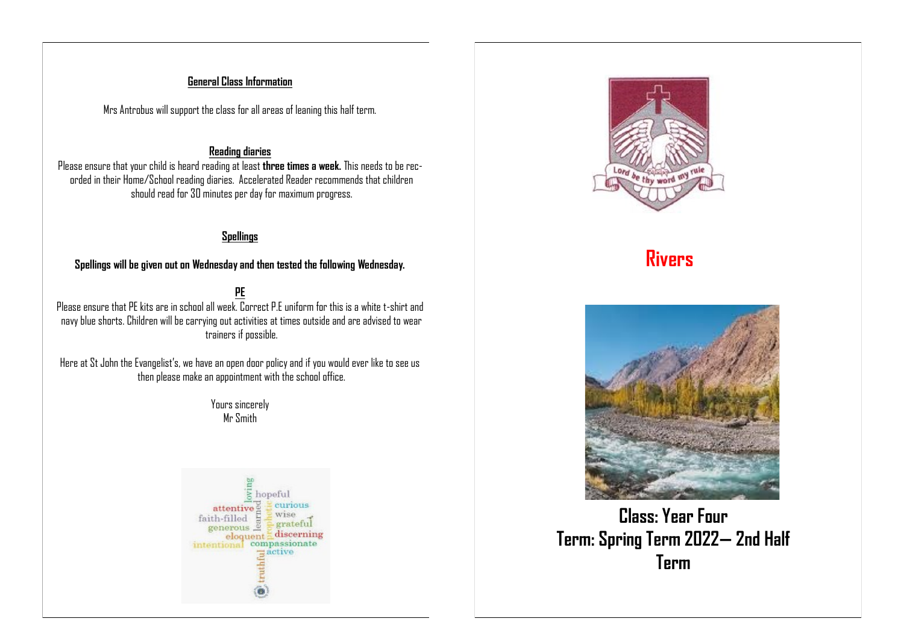### **General Class Information**

Mrs Antrobus will support the class for all areas of leaning this half term.

#### **Reading diaries**

Please ensure that your child is heard reading at least **three times a week.** This needs to be recorded in their Home/School reading diaries. Accelerated Reader recommends that children should read for 30 minutes per day for maximum progress.

### **Spellings**

**Spellings will be given out on Wednesday and then tested the following Wednesday.**

**PE** Please ensure that PE kits are in school all week. Correct P.E uniform for this is a white t-shirt and navy blue shorts. Children will be carrying out activities at times outside and are advised to wear trainers if possible.

Here at St John the Evangelist's, we have an open door policy and if you would ever like to see us then please make an appointment with the school office.

> Yours sincerely Mr Smith







**Class: Year Four Term: Spring Term 2022— 2nd Half Term**